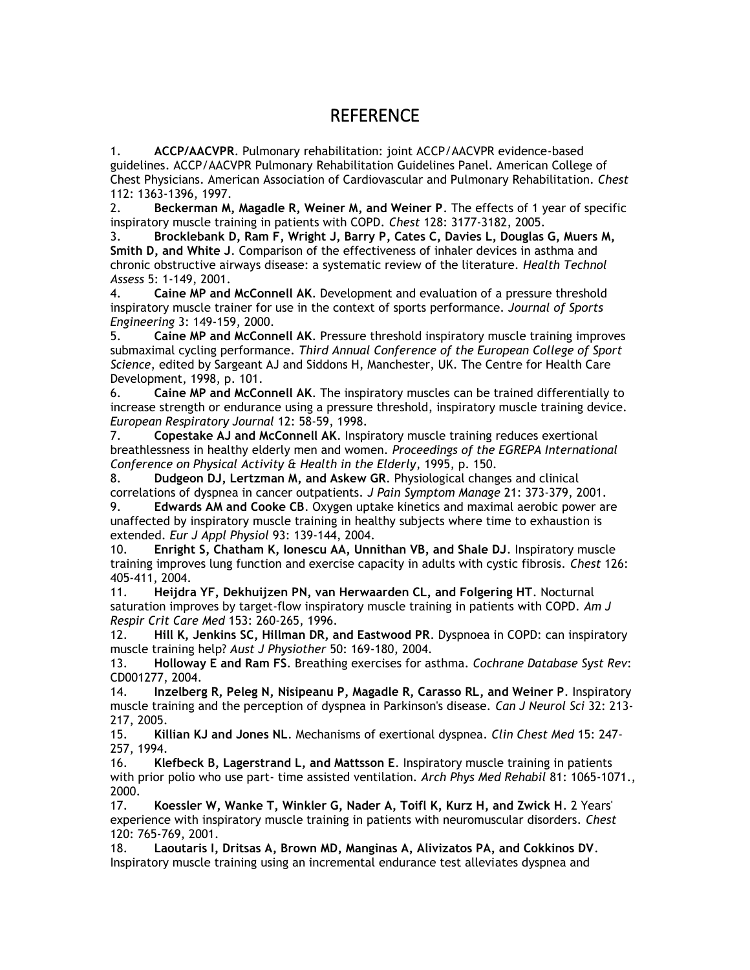## REFERENCE

1. **ACCP/AACVPR**. Pulmonary rehabilitation: joint ACCP/AACVPR evidence-based guidelines. ACCP/AACVPR Pulmonary Rehabilitation Guidelines Panel. American College of Chest Physicians. American Association of Cardiovascular and Pulmonary Rehabilitation. *Chest* 112: 1363-1396, 1997.

2. **Beckerman M, Magadle R, Weiner M, and Weiner P**. The effects of 1 year of specific inspiratory muscle training in patients with COPD. *Chest* 128: 3177-3182, 2005.

3. **Brocklebank D, Ram F, Wright J, Barry P, Cates C, Davies L, Douglas G, Muers M, Smith D, and White J**. Comparison of the effectiveness of inhaler devices in asthma and chronic obstructive airways disease: a systematic review of the literature. *Health Technol Assess* 5: 1-149, 2001.

4. **Caine MP and McConnell AK**. Development and evaluation of a pressure threshold inspiratory muscle trainer for use in the context of sports performance. *Journal of Sports Engineering* 3: 149-159, 2000.

5. **Caine MP and McConnell AK**. Pressure threshold inspiratory muscle training improves submaximal cycling performance. *Third Annual Conference of the European College of Sport Science*, edited by Sargeant AJ and Siddons H, Manchester, UK. The Centre for Health Care Development, 1998, p. 101.

6. **Caine MP and McConnell AK**. The inspiratory muscles can be trained differentially to increase strength or endurance using a pressure threshold, inspiratory muscle training device. *European Respiratory Journal* 12: 58-59, 1998.

7. **Copestake AJ and McConnell AK**. Inspiratory muscle training reduces exertional breathlessness in healthy elderly men and women. *Proceedings of the EGREPA International Conference on Physical Activity & Health in the Elderly*, 1995, p. 150.

8. **Dudgeon DJ, Lertzman M, and Askew GR**. Physiological changes and clinical correlations of dyspnea in cancer outpatients. *J Pain Symptom Manage* 21: 373-379, 2001.

9. **Edwards AM and Cooke CB**. Oxygen uptake kinetics and maximal aerobic power are unaffected by inspiratory muscle training in healthy subjects where time to exhaustion is extended. *Eur J Appl Physiol* 93: 139-144, 2004.

10. **Enright S, Chatham K, Ionescu AA, Unnithan VB, and Shale DJ**. Inspiratory muscle training improves lung function and exercise capacity in adults with cystic fibrosis. *Chest* 126: 405-411, 2004.

11. **Heijdra YF, Dekhuijzen PN, van Herwaarden CL, and Folgering HT**. Nocturnal saturation improves by target-flow inspiratory muscle training in patients with COPD. *Am J Respir Crit Care Med* 153: 260-265, 1996.

12. **Hill K, Jenkins SC, Hillman DR, and Eastwood PR**. Dyspnoea in COPD: can inspiratory muscle training help? *Aust J Physiother* 50: 169-180, 2004.

13. **Holloway E and Ram FS**. Breathing exercises for asthma. *Cochrane Database Syst Rev*: CD001277, 2004.

14. **Inzelberg R, Peleg N, Nisipeanu P, Magadle R, Carasso RL, and Weiner P**. Inspiratory muscle training and the perception of dyspnea in Parkinson's disease. *Can J Neurol Sci* 32: 213- 217, 2005.

15. **Killian KJ and Jones NL**. Mechanisms of exertional dyspnea. *Clin Chest Med* 15: 247- 257, 1994.

16. **Klefbeck B, Lagerstrand L, and Mattsson E**. Inspiratory muscle training in patients with prior polio who use part- time assisted ventilation. *Arch Phys Med Rehabil* 81: 1065-1071., 2000.

17. **Koessler W, Wanke T, Winkler G, Nader A, Toifl K, Kurz H, and Zwick H**. 2 Years' experience with inspiratory muscle training in patients with neuromuscular disorders. *Chest* 120: 765-769, 2001.

18. **Laoutaris I, Dritsas A, Brown MD, Manginas A, Alivizatos PA, and Cokkinos DV**. Inspiratory muscle training using an incremental endurance test alleviates dyspnea and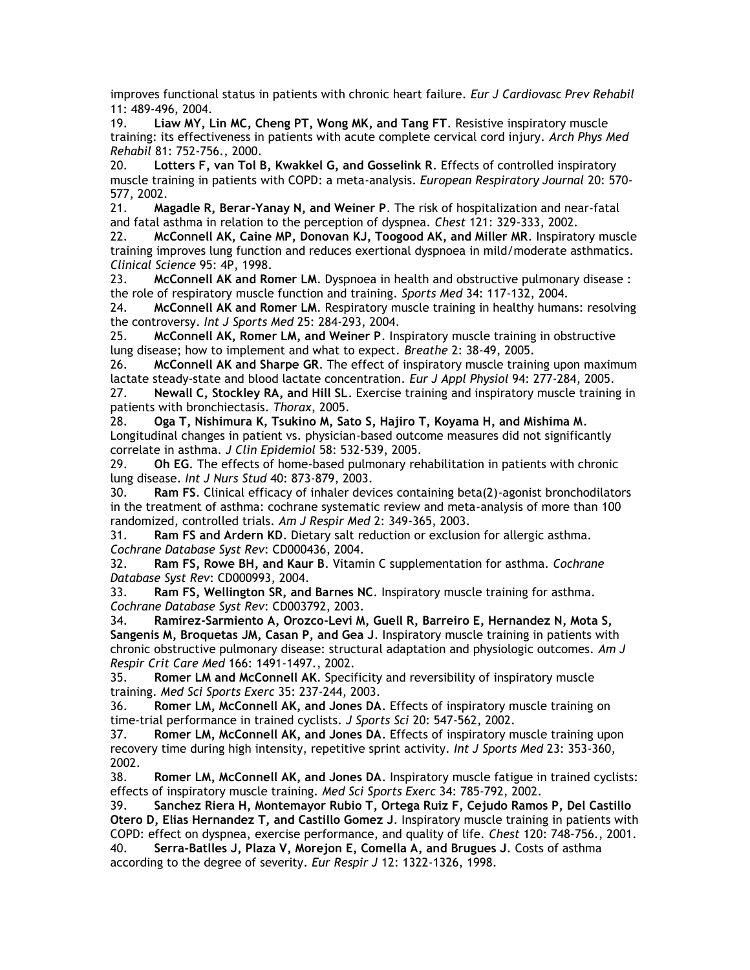improves functional status in patients with chronic heart failure. *Eur J Cardiovasc Prev Rehabil* 11: 489-496, 2004.

19. **Liaw MY, Lin MC, Cheng PT, Wong MK, and Tang FT**. Resistive inspiratory muscle training: its effectiveness in patients with acute complete cervical cord injury. *Arch Phys Med Rehabil* 81: 752-756., 2000.

20. **Lotters F, van Tol B, Kwakkel G, and Gosselink R**. Effects of controlled inspiratory muscle training in patients with COPD: a meta-analysis. *European Respiratory Journal* 20: 570- 577, 2002.

21. **Magadle R, Berar-Yanay N, and Weiner P**. The risk of hospitalization and near-fatal and fatal asthma in relation to the perception of dyspnea. *Chest* 121: 329-333, 2002.

22. **McConnell AK, Caine MP, Donovan KJ, Toogood AK, and Miller MR**. Inspiratory muscle training improves lung function and reduces exertional dyspnoea in mild/moderate asthmatics. *Clinical Science* 95: 4P, 1998.

23. **McConnell AK and Romer LM**. Dyspnoea in health and obstructive pulmonary disease : the role of respiratory muscle function and training. *Sports Med* 34: 117-132, 2004.

24. **McConnell AK and Romer LM**. Respiratory muscle training in healthy humans: resolving the controversy. *Int J Sports Med* 25: 284-293, 2004.

25. **McConnell AK, Romer LM, and Weiner P**. Inspiratory muscle training in obstructive lung disease; how to implement and what to expect. *Breathe* 2: 38-49, 2005.

26. **McConnell AK and Sharpe GR**. The effect of inspiratory muscle training upon maximum lactate steady-state and blood lactate concentration. *Eur J Appl Physiol* 94: 277-284, 2005.

27. **Newall C, Stockley RA, and Hill SL**. Exercise training and inspiratory muscle training in patients with bronchiectasis. *Thorax*, 2005.

28. **Oga T, Nishimura K, Tsukino M, Sato S, Hajiro T, Koyama H, and Mishima M**. Longitudinal changes in patient vs. physician-based outcome measures did not significantly correlate in asthma. *J Clin Epidemiol* 58: 532-539, 2005.

29. **Oh EG**. The effects of home-based pulmonary rehabilitation in patients with chronic lung disease. *Int J Nurs Stud* 40: 873-879, 2003.

30. **Ram FS**. Clinical efficacy of inhaler devices containing beta(2)-agonist bronchodilators in the treatment of asthma: cochrane systematic review and meta-analysis of more than 100 randomized, controlled trials. *Am J Respir Med* 2: 349-365, 2003.

31. **Ram FS and Ardern KD**. Dietary salt reduction or exclusion for allergic asthma. *Cochrane Database Syst Rev*: CD000436, 2004.

32. **Ram FS, Rowe BH, and Kaur B**. Vitamin C supplementation for asthma. *Cochrane Database Syst Rev*: CD000993, 2004.

33. **Ram FS, Wellington SR, and Barnes NC**. Inspiratory muscle training for asthma. *Cochrane Database Syst Rev*: CD003792, 2003.

34. **Ramirez-Sarmiento A, Orozco-Levi M, Guell R, Barreiro E, Hernandez N, Mota S, Sangenis M, Broquetas JM, Casan P, and Gea J**. Inspiratory muscle training in patients with chronic obstructive pulmonary disease: structural adaptation and physiologic outcomes. *Am J Respir Crit Care Med* 166: 1491-1497., 2002.

35. **Romer LM and McConnell AK**. Specificity and reversibility of inspiratory muscle training. *Med Sci Sports Exerc* 35: 237-244, 2003.

36. **Romer LM, McConnell AK, and Jones DA**. Effects of inspiratory muscle training on time-trial performance in trained cyclists. *J Sports Sci* 20: 547-562, 2002.

37. **Romer LM, McConnell AK, and Jones DA**. Effects of inspiratory muscle training upon recovery time during high intensity, repetitive sprint activity. *Int J Sports Med* 23: 353-360, 2002.

38. **Romer LM, McConnell AK, and Jones DA**. Inspiratory muscle fatigue in trained cyclists: effects of inspiratory muscle training. *Med Sci Sports Exerc* 34: 785-792, 2002.

39. **Sanchez Riera H, Montemayor Rubio T, Ortega Ruiz F, Cejudo Ramos P, Del Castillo Otero D, Elias Hernandez T, and Castillo Gomez J**. Inspiratory muscle training in patients with COPD: effect on dyspnea, exercise performance, and quality of life. *Chest* 120: 748-756., 2001.

40. **Serra-Batlles J, Plaza V, Morejon E, Comella A, and Brugues J**. Costs of asthma according to the degree of severity. *Eur Respir J* 12: 1322-1326, 1998.